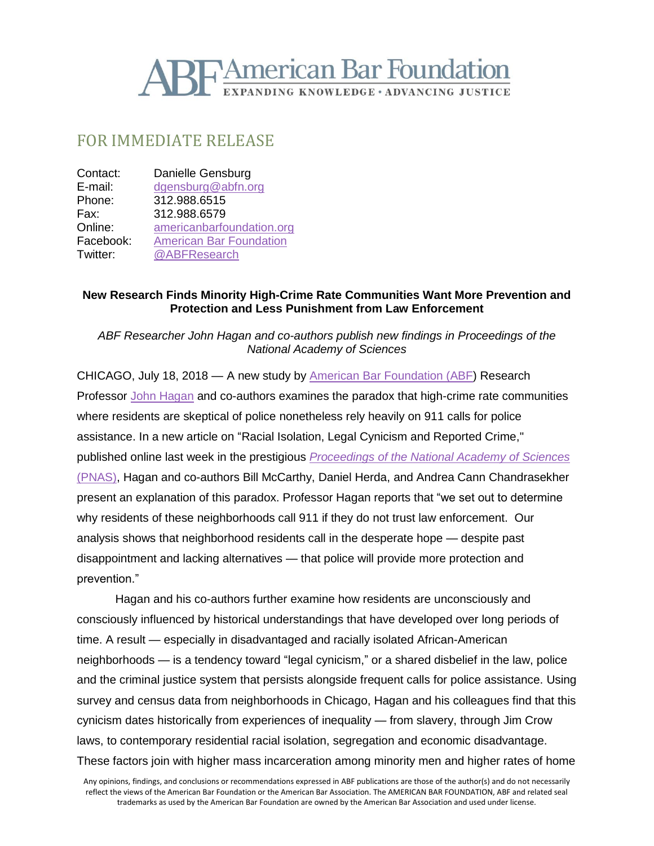

## FOR IMMEDIATE RELEASE

| Contact:  | Danielle Gensburg              |
|-----------|--------------------------------|
| E-mail:   | dgensburg@abfn.org             |
| Phone:    | 312.988.6515                   |
| Fax:      | 312.988.6579                   |
| Online:   | americanbarfoundation.org      |
| Facebook: | <b>American Bar Foundation</b> |
| Twitter:  | @ABFResearch                   |
|           |                                |

## **New Research Finds Minority High-Crime Rate Communities Want More Prevention and Protection and Less Punishment from Law Enforcement**

*ABF Researcher John Hagan and co-authors publish new findings in Proceedings of the National Academy of Sciences* 

CHICAGO, July 18, 2018 — A new study by [American Bar Foundation \(ABF\)](http://www.americanbarfoundation.org/index.html) Research Professor [John Hagan](http://www.americanbarfoundation.org/faculty/profile/9) and co-authors examines the paradox that high-crime rate communities where residents are skeptical of police nonetheless rely heavily on 911 calls for police assistance. In a new article on "Racial Isolation, Legal Cynicism and Reported Crime," published online last week in the prestigious *[Proceedings of the National Academy of Sciences](http://www.pnas.org/content/115/28/7190)*  [\(PNAS\),](http://www.pnas.org/content/115/28/7190) Hagan and co-authors Bill McCarthy, Daniel Herda, and Andrea Cann Chandrasekher present an explanation of this paradox. Professor Hagan reports that "we set out to determine why residents of these neighborhoods call 911 if they do not trust law enforcement. Our analysis shows that neighborhood residents call in the desperate hope — despite past disappointment and lacking alternatives — that police will provide more protection and prevention."

Hagan and his co-authors further examine how residents are unconsciously and consciously influenced by historical understandings that have developed over long periods of time. A result — especially in disadvantaged and racially isolated African-American neighborhoods — is a tendency toward "legal cynicism," or a shared disbelief in the law, police and the criminal justice system that persists alongside frequent calls for police assistance. Using survey and census data from neighborhoods in Chicago, Hagan and his colleagues find that this cynicism dates historically from experiences of inequality — from slavery, through Jim Crow laws, to contemporary residential racial isolation, segregation and economic disadvantage. These factors join with higher mass incarceration among minority men and higher rates of home

Any opinions, findings, and conclusions or recommendations expressed in ABF publications are those of the author(s) and do not necessarily reflect the views of the American Bar Foundation or the American Bar Association. The AMERICAN BAR FOUNDATION, ABF and related seal trademarks as used by the American Bar Foundation are owned by the American Bar Association and used under license.